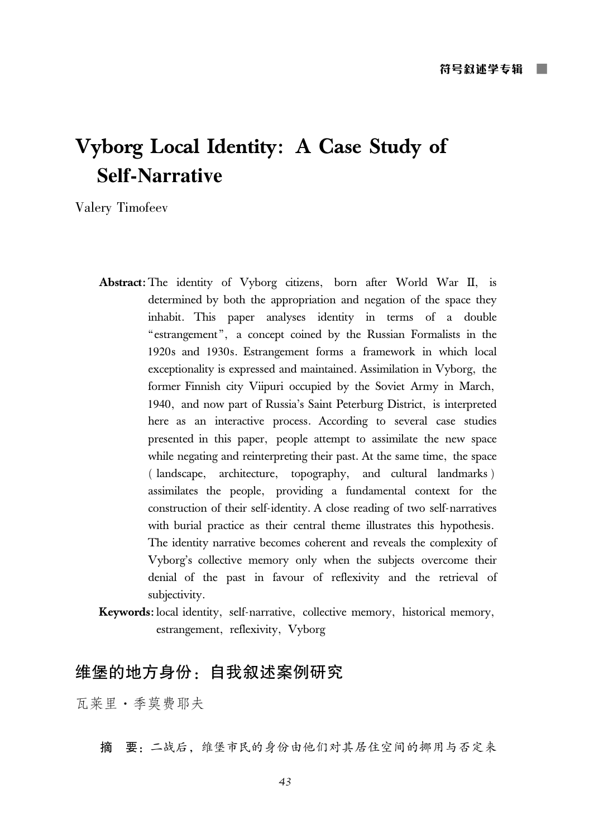# Vyborg Local Identity: A Case Study of **Self-Narrative**

Valery Timofeev

- Abstract: The identity of Vyborg citizens, born after World War II, is determined by both the appropriation and negation of the space they inhabit. This paper analyses identity in terms of a double "estrangement", a concept coined by the Russian Formalists in the 1920s and 1930s. Estrangement forms a framework in which local exceptionality is expressed and maintained. Assimilation in Vyborg, the former Finnish city Viipuri occupied by the Soviet Army in March, 1940, and now part of Russia's Saint Peterburg District, is interpreted here as an interactive process. According to several case studies presented in this paper, people attempt to assimilate the new space while negating and reinterpreting their past. At the same time, the space (landscape, architecture, topography, and cultural landmarks) assimilates the people, providing a fundamental context for the construction of their self-identity. A close reading of two self-narratives with burial practice as their central theme illustrates this hypothesis. The identity narrative becomes coherent and reveals the complexity of Vyborg's collective memory only when the subjects overcome their denial of the past in favour of reflexivity and the retrieval of subjectivity.
- Keywords: local identity, self-narrative, collective memory, historical memory, estrangement, reflexivity, Vyborg

## 维堡的地方身份: 自我叙述案例研究

瓦莱里·季莫费耶夫

摘 要: 二战后, 维堡市民的身份由他们对其居住空间的挪用与否定来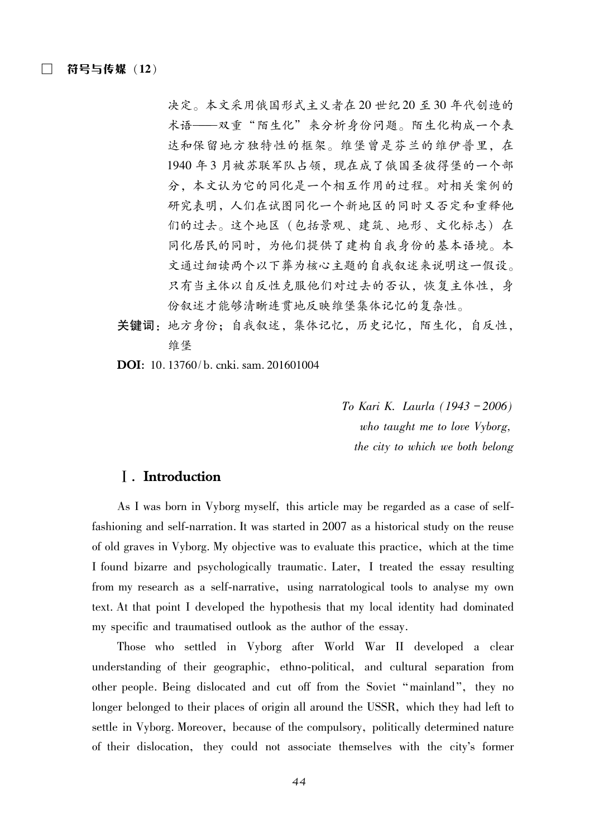决定。本文采用俄国形式主义者在20世纪20至30年代创造的 术语——双重"陌生化"来分析身份问题。陌生化构成一个表 达和保留地方独特性的框架。维堡曾是芬兰的维伊普里,在 1940年3月被苏联军队占领,现在成了俄国圣彼得堡的一个部 分,本文认为它的同化是一个相互作用的过程。对相关案例的 研究表明,人们在试图同化一个新地区的同时又否定和重释他 们的过去。这个地区(包括景观、建筑、地形、文化标志)在 同化居民的同时,为他们提供了建构自我身份的基本语境。本 文通过细读两个以下葬为核心主题的自我叙述来说明这一假设。 只有当主体以自反性克服他们对过去的否认, 恢复主体性, 身 份叙述才能够清晰连贯地反映维堡集体记忆的复杂性。

- 关键词: 地方身份; 自我叙述, 集体记忆, 历史记忆, 陌生化, 自反性, 维堡
- **DOI**: 10.13760/b. cnki. sam. 201601004

To Kari K. Laurla (1943-2006) who taught me to love Vyborg, the city to which we both belong

#### **I**. Introduction

As I was born in Vyborg myself, this article may be regarded as a case of selffashioning and self-narration. It was started in 2007 as a historical study on the reuse of old graves in Vyborg. My objective was to evaluate this practice, which at the time I found bizarre and psychologically traumatic. Later, I treated the essay resulting from my research as a self-narrative, using narratological tools to analyse my own text. At that point I developed the hypothesis that my local identity had dominated my specific and traumatised outlook as the author of the essay.

Those who settled in Vyborg after World War II developed a clear understanding of their geographic, ethno-political, and cultural separation from other people. Being dislocated and cut off from the Soviet "mainland", they no longer belonged to their places of origin all around the USSR, which they had left to settle in Vyborg. Moreover, because of the compulsory, politically determined nature of their dislocation, they could not associate themselves with the city's former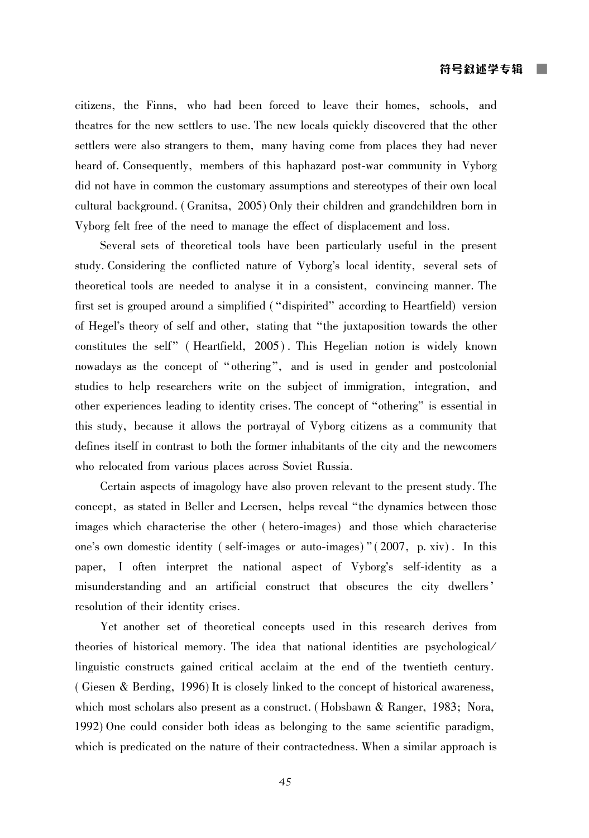citizens, the Finns, who had been forced to leave their homes, schools, and theatres for the new settlers to use. The new locals quickly discovered that the other settlers were also strangers to them, many having come from places they had never heard of. Consequently, members of this haphazard post-war community in Vyborg did not have in common the customary assumptions and stereotypes of their own local cultural background. (Granitsa, 2005) Only their children and grandchildren born in Vyborg felt free of the need to manage the effect of displacement and loss.

Several sets of theoretical tools have been particularly useful in the present study. Considering the conflicted nature of Vyborg's local identity, several sets of theoretical tools are needed to analyse it in a consistent, convincing manner. The first set is grouped around a simplified ("dispirited" according to Heartfield) version of Hegel's theory of self and other, stating that "the juxtaposition towards the other constitutes the self" (Heartfield, 2005). This Hegelian notion is widely known nowadays as the concept of "othering", and is used in gender and postcolonial studies to help researchers write on the subject of immigration, integration, and other experiences leading to identity crises. The concept of "othering" is essential in this study, because it allows the portrayal of Vyborg citizens as a community that defines itself in contrast to both the former inhabitants of the city and the newcomers who relocated from various places across Soviet Russia.

Certain aspects of imagology have also proven relevant to the present study. The concept, as stated in Beller and Leersen, helps reveal "the dynamics between those images which characterise the other (hetero-images) and those which characterise one's own domestic identity (self-images or auto-images)"  $(2007, p. xiv)$ . In this paper, I often interpret the national aspect of Vyborg's self-identity as a misunderstanding and an artificial construct that obscures the city dwellers' resolution of their identity crises.

Yet another set of theoretical concepts used in this research derives from theories of historical memory. The idea that national identities are psychological linguistic constructs gained critical acclaim at the end of the twentieth century. (Giesen & Berding, 1996) It is closely linked to the concept of historical awareness, which most scholars also present as a construct. (Hobsbawn & Ranger, 1983; Nora, 1992) One could consider both ideas as belonging to the same scientific paradigm, which is predicated on the nature of their contractedness. When a similar approach is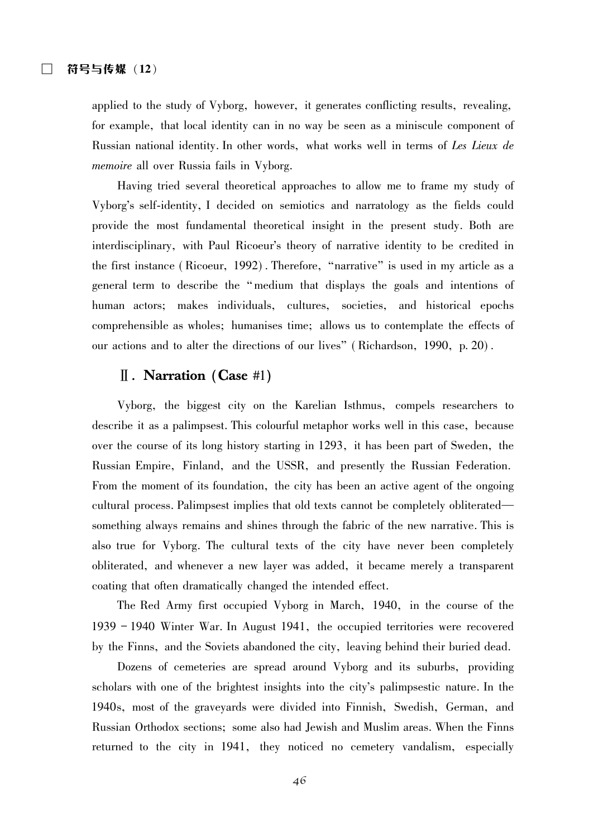applied to the study of Vyborg, however, it generates conflicting results, revealing, for example, that local identity can in no way be seen as a miniscule component of Russian national identity. In other words, what works well in terms of Les Lieux de *memoire* all over Russia fails in Vyborg.

Having tried several theoretical approaches to allow me to frame my study of Vyborg's self-identity, I decided on semiotics and narratology as the fields could provide the most fundamental theoretical insight in the present study. Both are interdisciplinary, with Paul Ricoeur's theory of narrative identity to be credited in the first instance (Ricoeur, 1992). Therefore, "narrative" is used in my article as a general term to describe the "medium that displays the goals and intentions of human actors; makes individuals, cultures, societies, and historical epochs comprehensible as wholes; humanises time; allows us to contemplate the effects of our actions and to alter the directions of our lives" (Richardson, 1990, p. 20).

#### $\parallel$ . Narration (Case #1)

Vyborg, the biggest city on the Karelian Isthmus, compels researchers to describe it as a palimpsest. This colourful metaphor works well in this case, because over the course of its long history starting in 1293, it has been part of Sweden, the Russian Empire, Finland, and the USSR, and presently the Russian Federation. From the moment of its foundation, the city has been an active agent of the ongoing cultural process. Palimpsest implies that old texts cannot be completely obliterated something always remains and shines through the fabric of the new narrative. This is also true for Vyborg. The cultural texts of the city have never been completely obliterated, and whenever a new layer was added, it became merely a transparent coating that often dramatically changed the intended effect.

The Red Army first occupied Vyborg in March, 1940, in the course of the 1939 - 1940 Winter War. In August 1941, the occupied territories were recovered by the Finns, and the Soviets abandoned the city, leaving behind their buried dead.

Dozens of cemeteries are spread around Vyborg and its suburbs, providing scholars with one of the brightest insights into the city's palimpsestic nature. In the 1940s, most of the gravevards were divided into Finnish, Swedish, German, and Russian Orthodox sections; some also had Jewish and Muslim areas. When the Finns returned to the city in 1941, they noticed no cemetery vandalism, especially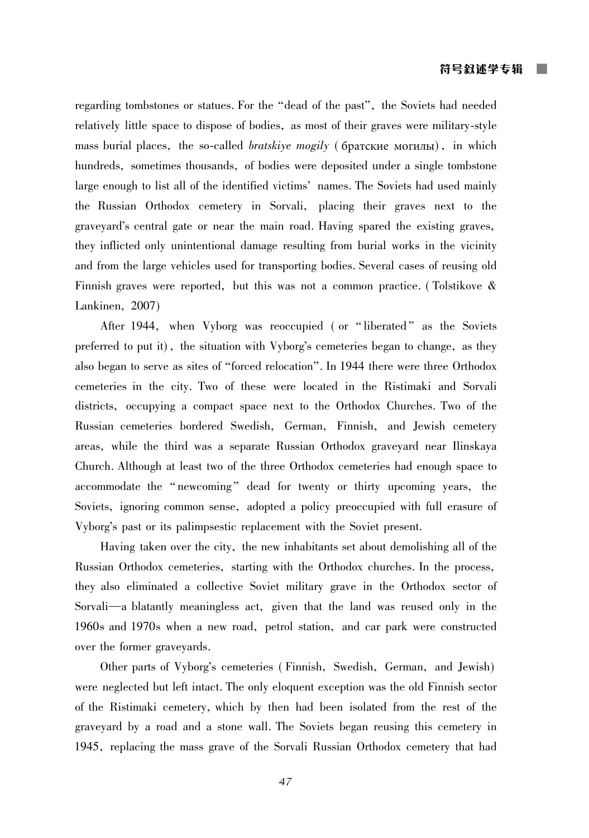regarding tombstones or statues. For the "dead of the past", the Soviets had needed relatively little space to dispose of bodies, as most of their graves were military-style mass burial places, the so-called *bratskive mogily* (6parckue MOTULIII), in which hundreds, sometimes thousands, of bodies were deposited under a single tombstone large enough to list all of the identified victims' names. The Soviets had used mainly the Russian Orthodox cemetery in Sorvali, placing their graves next to the gravevard's central gate or near the main road. Having spared the existing graves, they inflicted only unintentional damage resulting from burial works in the vicinity and from the large vehicles used for transporting bodies. Several cases of reusing old Finnish graves were reported, but this was not a common practice. (Tolstikove & Lankinen, 2007)

After 1944, when Vyborg was reoccupied (or "liberated" as the Soviets preferred to put it), the situation with Vyborg's cemeteries began to change, as they also began to serve as sites of "forced relocation". In 1944 there were three Orthodox cemeteries in the city. Two of these were located in the Ristimaki and Sorvali districts, occupying a compact space next to the Orthodox Churches. Two of the Russian cemeteries bordered Swedish, German, Finnish, and Jewish cemetery areas, while the third was a separate Russian Orthodox graveyard near Ilinskaya Church. Although at least two of the three Orthodox cemeteries had enough space to accommodate the "newcoming" dead for twenty or thirty upcoming years, the Soviets, ignoring common sense, adopted a policy preoccupied with full erasure of Vyborg's past or its palimpsestic replacement with the Soviet present.

Having taken over the city, the new inhabitants set about demolishing all of the Russian Orthodox cemeteries, starting with the Orthodox churches. In the process, they also eliminated a collective Soviet military grave in the Orthodox sector of Sorvali—a blatantly meaningless act, given that the land was reused only in the 1960s and 1970s when a new road, petrol station, and car park were constructed over the former graveyards.

Other parts of Vyborg's cemeteries (Finnish, Swedish, German, and Jewish) were neglected but left intact. The only eloquent exception was the old Finnish sector of the Ristimaki cemetery, which by then had been isolated from the rest of the gravevard by a road and a stone wall. The Soviets began reusing this cemetery in 1945, replacing the mass grave of the Sorvali Russian Orthodox cemetery that had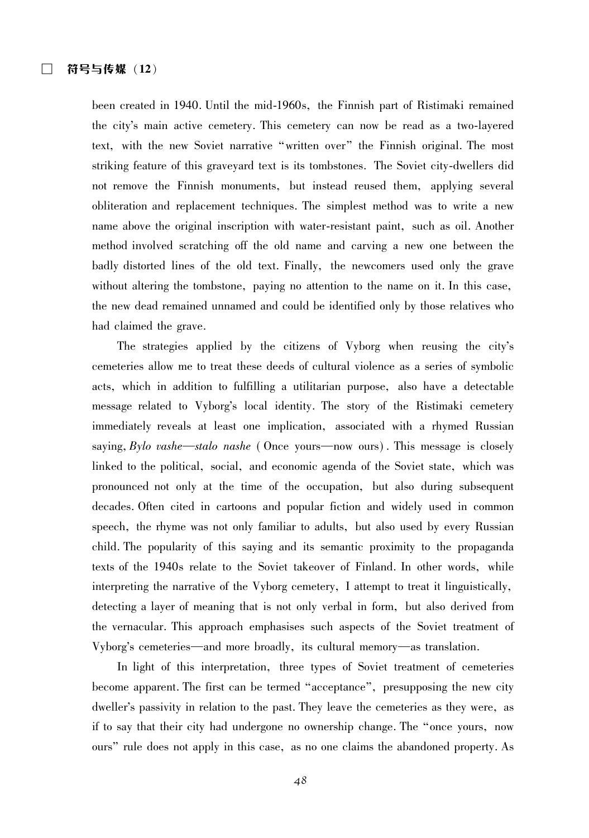been created in 1940. Until the mid-1960s, the Finnish part of Ristimaki remained the city's main active cemetery. This cemetery can now be read as a two-layered text, with the new Soviet narrative "written over" the Finnish original. The most striking feature of this graveyard text is its tombstones. The Soviet city-dwellers did not remove the Finnish monuments, but instead reused them, applying several obliteration and replacement techniques. The simplest method was to write a new name above the original inscription with water-resistant paint, such as oil. Another method involved scratching off the old name and carving a new one between the badly distorted lines of the old text. Finally, the newcomers used only the grave without altering the tombstone, paying no attention to the name on it. In this case, the new dead remained unnamed and could be identified only by those relatives who had claimed the grave.

The strategies applied by the citizens of Vyborg when reusing the city's cemeteries allow me to treat these deeds of cultural violence as a series of symbolic acts, which in addition to fulfilling a utilitarian purpose, also have a detectable message related to Vyborg's local identity. The story of the Ristimaki cemetery immediately reveals at least one implication, associated with a rhymed Russian saying,  $Bylo$  vashe—stalo nashe (Once yours—now ours). This message is closely linked to the political, social, and economic agenda of the Soviet state, which was pronounced not only at the time of the occupation, but also during subsequent decades. Often cited in cartoons and popular fiction and widely used in common speech, the rhyme was not only familiar to adults, but also used by every Russian child. The popularity of this saying and its semantic proximity to the propaganda texts of the 1940s relate to the Soviet takeover of Finland. In other words, while interpreting the narrative of the Vyborg cemetery, I attempt to treat it linguistically, detecting a layer of meaning that is not only verbal in form, but also derived from the vernacular. This approach emphasises such aspects of the Soviet treatment of Vyborg's cemeteries—and more broadly, its cultural memory—as translation.

In light of this interpretation, three types of Soviet treatment of cemeteries become apparent. The first can be termed "acceptance", presupposing the new city dweller's passivity in relation to the past. They leave the cemeteries as they were, as if to say that their city had undergone no ownership change. The "once yours, now ours" rule does not apply in this case, as no one claims the abandoned property. As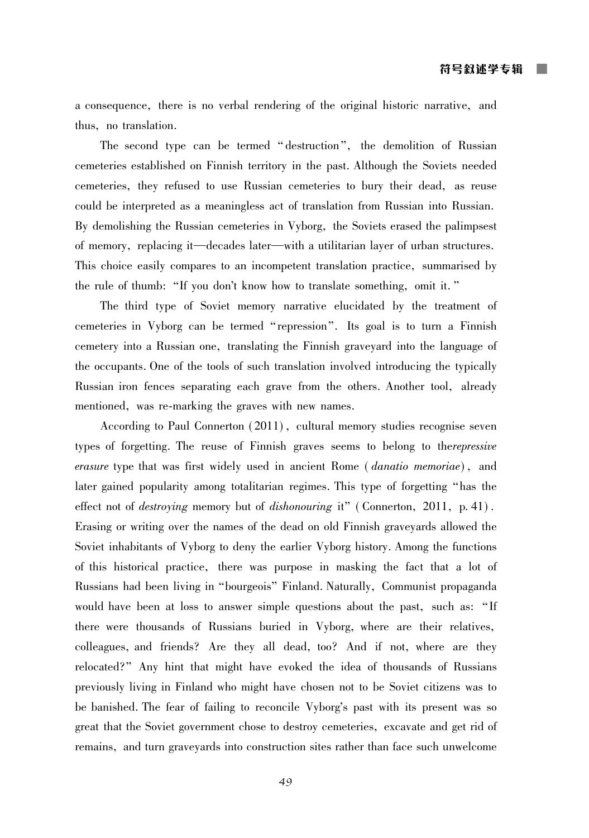a consequence, there is no verbal rendering of the original historic narrative, and thus. no translation.

The second type can be termed "destruction", the demolition of Russian cemeteries established on Finnish territory in the past. Although the Soviets needed cemeteries, they refused to use Russian cemeteries to bury their dead, as reuse could be interpreted as a meaningless act of translation from Russian into Russian. By demolishing the Russian cemeteries in Vyborg, the Soviets erased the palimpsest of memory, replacing it—decades later—with a utilitarian layer of urban structures. This choice easily compares to an incompetent translation practice, summarised by the rule of thumb: "If you don't know how to translate something, omit it."

The third type of Soviet memory narrative elucidated by the treatment of cemeteries in Vyborg can be termed "repression". Its goal is to turn a Finnish cemetery into a Russian one, translating the Finnish gravevard into the language of the occupants. One of the tools of such translation involved introducing the typically Russian iron fences separating each grave from the others. Another tool, already mentioned, was re-marking the graves with new names.

According to Paul Connerton (2011), cultural memory studies recognise seven types of forgetting. The reuse of Finnish graves seems to belong to therepressive *erasure* type that was first widely used in ancient Rome (*danatio memoriae*), and later gained popularity among totalitarian regimes. This type of forgetting "has the effect not of *destroying* memory but of *dishonouring* it" (Connerton, 2011, p. 41). Erasing or writing over the names of the dead on old Finnish graveyards allowed the Soviet inhabitants of Vyborg to deny the earlier Vyborg history. Among the functions of this historical practice, there was purpose in masking the fact that a lot of Russians had been living in "bourgeois" Finland. Naturally, Communist propaganda would have been at loss to answer simple questions about the past, such as: "If there were thousands of Russians buried in Vyborg, where are their relatives, colleagues, and friends? Are they all dead, too? And if not, where are they relocated?" Any hint that might have evoked the idea of thousands of Russians previously living in Finland who might have chosen not to be Soviet citizens was to be banished. The fear of failing to reconcile Vyborg's past with its present was so great that the Soviet government chose to destroy cemeteries, excavate and get rid of remains, and turn graveyards into construction sites rather than face such unwelcome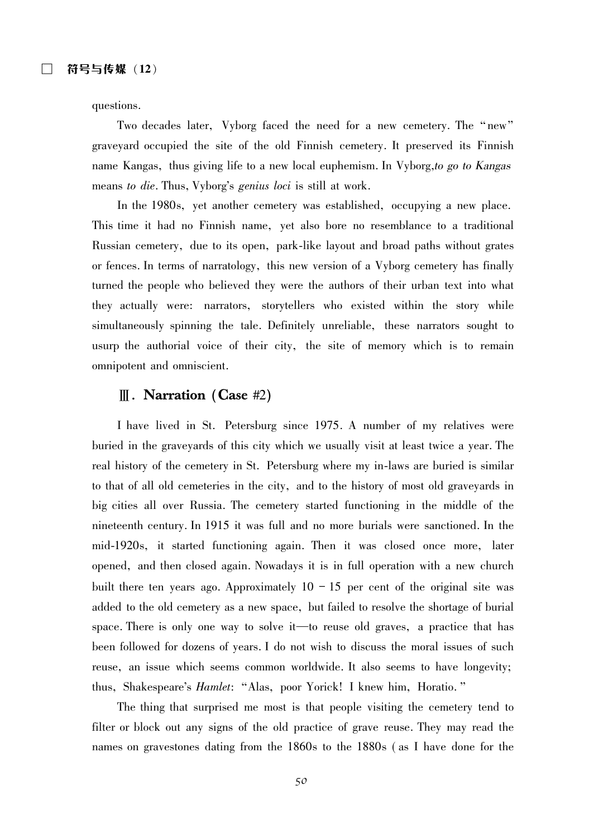questions.

Two decades later, Vyborg faced the need for a new cemetery. The "new" graveyard occupied the site of the old Finnish cemetery. It preserved its Finnish name Kangas, thus giving life to a new local euphemism. In Vyborg, to go to Kangas means to die. Thus, Vyborg's genius loci is still at work.

In the 1980s, yet another cemetery was established, occupying a new place. This time it had no Finnish name, yet also bore no resemblance to a traditional Russian cemetery, due to its open, park-like layout and broad paths without grates or fences. In terms of narratology, this new version of a Vyborg cemetery has finally turned the people who believed they were the authors of their urban text into what they actually were: narrators, storytellers who existed within the story while simultaneously spinning the tale. Definitely unreliable, these narrators sought to usurp the authorial voice of their city, the site of memory which is to remain omnipotent and omniscient.

#### $\parallel$ . Narration (Case #2)

I have lived in St. Petersburg since 1975. A number of my relatives were buried in the graveyards of this city which we usually visit at least twice a year. The real history of the cemetery in St. Petersburg where my in-laws are buried is similar to that of all old cemeteries in the city, and to the history of most old graveyards in big cities all over Russia. The cemetery started functioning in the middle of the nineteenth century. In 1915 it was full and no more burials were sanctioned. In the mid-1920s, it started functioning again. Then it was closed once more, later opened, and then closed again. Nowadays it is in full operation with a new church built there ten years ago. Approximately  $10 - 15$  per cent of the original site was added to the old cemetery as a new space, but failed to resolve the shortage of burial space. There is only one way to solve it—to reuse old graves, a practice that has been followed for dozens of years. I do not wish to discuss the moral issues of such reuse, an issue which seems common worldwide. It also seems to have longevity; thus, Shakespeare's *Hamlet*: "Alas, poor Yorick! I knew him, Horatio."

The thing that surprised me most is that people visiting the cemetery tend to filter or block out any signs of the old practice of grave reuse. They may read the names on gravestones dating from the 1860s to the 1880s (as I have done for the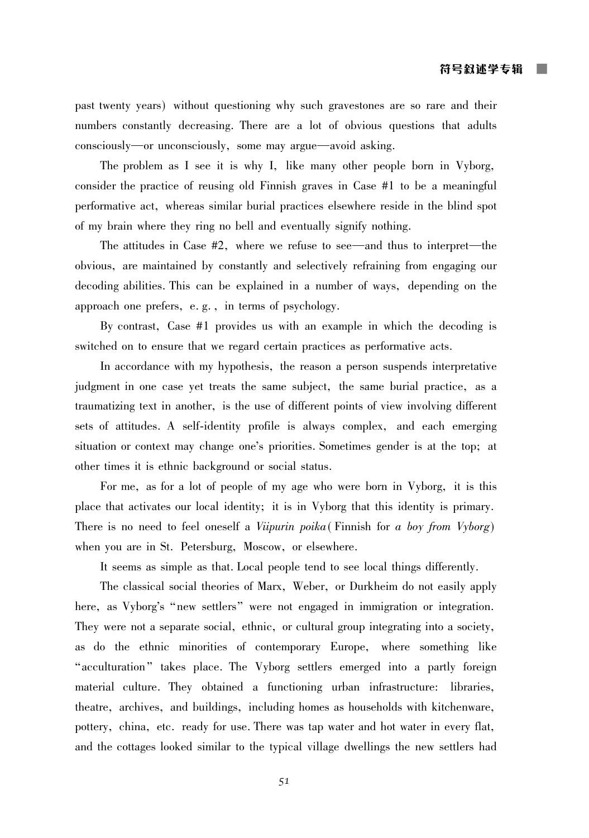past twenty years) without questioning why such gravestones are so rare and their numbers constantly decreasing. There are a lot of obvious questions that adults consciously—or unconsciously, some may argue—avoid asking.

The problem as I see it is why I, like many other people born in Vyborg, consider the practice of reusing old Finnish graves in Case  $#1$  to be a meaningful performative act, whereas similar burial practices elsewhere reside in the blind spot of my brain where they ring no bell and eventually signify nothing.

The attitudes in Case  $#2$ , where we refuse to see—and thus to interpret—the obvious, are maintained by constantly and selectively refraining from engaging our decoding abilities. This can be explained in a number of ways, depending on the approach one prefers, e.g., in terms of psychology.

By contrast, Case  $#1$  provides us with an example in which the decoding is switched on to ensure that we regard certain practices as performative acts.

In accordance with my hypothesis, the reason a person suspends interpretative judgment in one case yet treats the same subject, the same burial practice, as a traumatizing text in another, is the use of different points of view involving different sets of attitudes. A self-identity profile is always complex, and each emerging situation or context may change one's priorities. Sometimes gender is at the top; at other times it is ethnic background or social status.

For me, as for a lot of people of my age who were born in Vyborg, it is this place that activates our local identity; it is in Vyborg that this identity is primary. There is no need to feel oneself a Viipurin poika (Finnish for a boy from Vyborg) when you are in St. Petersburg, Moscow, or elsewhere.

It seems as simple as that. Local people tend to see local things differently.

The classical social theories of Marx, Weber, or Durkheim do not easily apply here, as Vyborg's "new settlers" were not engaged in immigration or integration. They were not a separate social, ethnic, or cultural group integrating into a society, as do the ethnic minorities of contemporary Europe, where something like "acculturation" takes place. The Vyborg settlers emerged into a partly foreign material culture. They obtained a functioning urban infrastructure: libraries, theatre, archives, and buildings, including homes as households with kitchenware, pottery, china, etc. ready for use. There was tap water and hot water in every flat. and the cottages looked similar to the typical village dwellings the new settlers had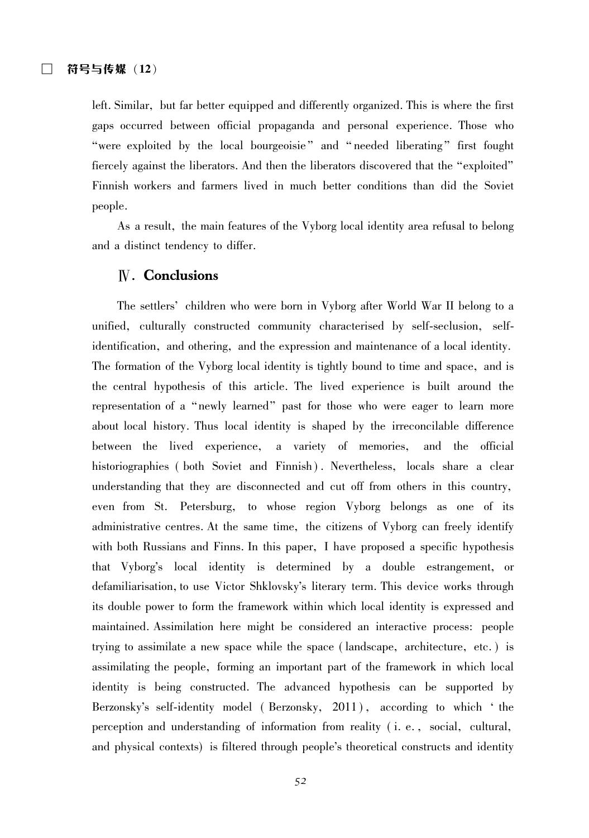left. Similar, but far better equipped and differently organized. This is where the first gaps occurred between official propaganda and personal experience. Those who "were exploited by the local bourgeoisie" and "needed liberating" first fought fiercely against the liberators. And then the liberators discovered that the "exploited" Finnish workers and farmers lived in much better conditions than did the Soviet people.

As a result, the main features of the Vyborg local identity area refusal to belong and a distinct tendency to differ.

### **N.** Conclusions

The settlers' children who were born in Vyborg after World War II belong to a unified, culturally constructed community characterised by self-seclusion, selfidentification, and othering, and the expression and maintenance of a local identity. The formation of the Vyborg local identity is tightly bound to time and space, and is the central hypothesis of this article. The lived experience is built around the representation of a "newly learned" past for those who were eager to learn more about local history. Thus local identity is shaped by the irreconcilable difference between the lived experience, a variety of memories, and the official historiographies (both Soviet and Finnish). Nevertheless, locals share a clear understanding that they are disconnected and cut off from others in this country, even from St. Petersburg, to whose region Vyborg belongs as one of its administrative centres. At the same time, the citizens of Vyborg can freely identify with both Russians and Finns. In this paper, I have proposed a specific hypothesis that Vyborg's local identity is determined by a double estrangement, or defamiliarisation, to use Victor Shklovsky's literary term. This device works through its double power to form the framework within which local identity is expressed and maintained. Assimilation here might be considered an interactive process: people trying to assimilate a new space while the space (landscape, architecture, etc.) is assimilating the people, forming an important part of the framework in which local identity is being constructed. The advanced hypothesis can be supported by Berzonsky's self-identity model (Berzonsky, 2011), according to which 'the perception and understanding of information from reality (*i.e.*, social, cultural, and physical contexts) is filtered through people's theoretical constructs and identity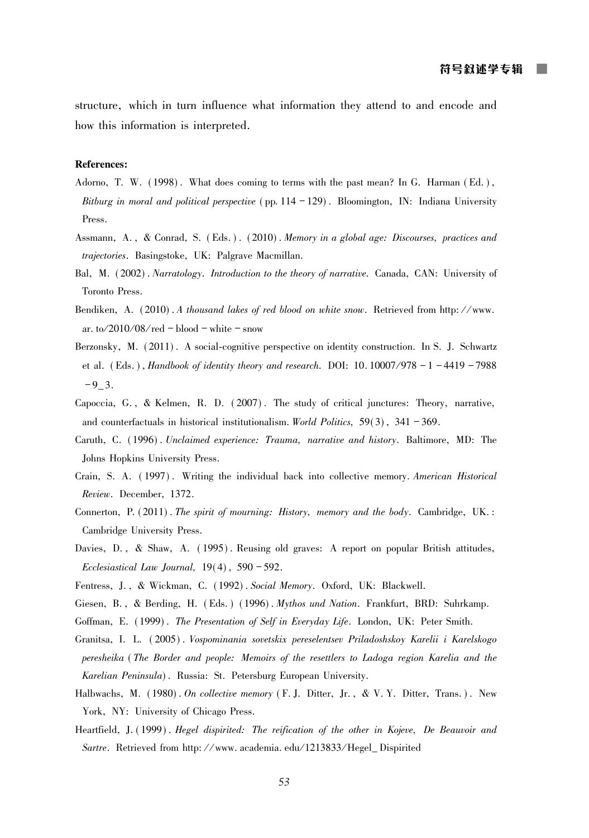structure, which in turn influence what information they attend to and encode and how this information is interpreted.

#### **References:**

- Adorno, T. W. (1998). What does coming to terms with the past mean? In G. Harman (Ed.), Bitburg in moral and political perspective (pp.  $114 - 129$ ). Bloomington, IN: Indiana University Press.
- Assmann, A., & Conrad, S. (Eds.). (2010). Memory in a global age: Discourses, practices and trajectories. Basingstoke, UK: Palgrave Macmillan.
- Bal, M. (2002). Narratology. Introduction to the theory of narrative. Canada, CAN: University of Toronto Press.
- Bendiken, A. (2010). A thousand lakes of red blood on white snow. Retrieved from http://www. ar. to/2010/08/red - blood - white - snow
- Berzonsky, M. (2011). A social-cognitive perspective on identity construction. In S. J. Schwartz et al. (Eds.), Handbook of identity theory and research. DOI: 10.10007/978 -  $1 - 4419 - 7988$  $-9 - 3$ .
- Capoccia, G., & Kelmen, R. D. (2007). The study of critical junctures: Theory, narrative, and counterfactuals in historical institutionalism. World Politics,  $59(3)$ ,  $341 - 369$ .
- Caruth, C. (1996). Unclaimed experience: Trauma, narrative and history. Baltimore, MD: The Johns Hopkins University Press.
- Crain, S. A. (1997). Writing the individual back into collective memory. American Historical Review. December, 1372.
- Connerton, P. (2011). The spirit of mourning: History, memory and the body. Cambridge, UK.: Cambridge University Press.
- Davies, D., & Shaw, A. (1995). Reusing old graves: A report on popular British attitudes, Ecclesiastical Law Journal,  $19(4)$ ,  $590 - 592$ .
- Fentress, J., & Wickman, C. (1992). Social Memory. Oxford, UK: Blackwell.
- Giesen, B., & Berding, H. (Eds.) (1996). Mythos und Nation. Frankfurt, BRD: Suhrkamp.
- Goffman, E. (1999). The Presentation of Self in Everyday Life. London, UK: Peter Smith.
- Granitsa, I. L. (2005). Vospominania sovetskix pereselentsev Priladoshskoy Karelii i Karelskogo peresheika (The Border and people: Memoirs of the resettlers to Ladoga region Karelia and the Karelian Peninsula). Russia: St. Petersburg European University.
- Halbwachs, M. (1980). On collective memory (F. J. Ditter, Jr., & V. Y. Ditter, Trans.). New York, NY: University of Chicago Press.
- Heartfield, J. (1999). Hegel dispirited: The reification of the other in Kojeve, De Beauvoir and Sartre. Retrieved from http://www.academia.edu/1213833/Hegel\_Dispirited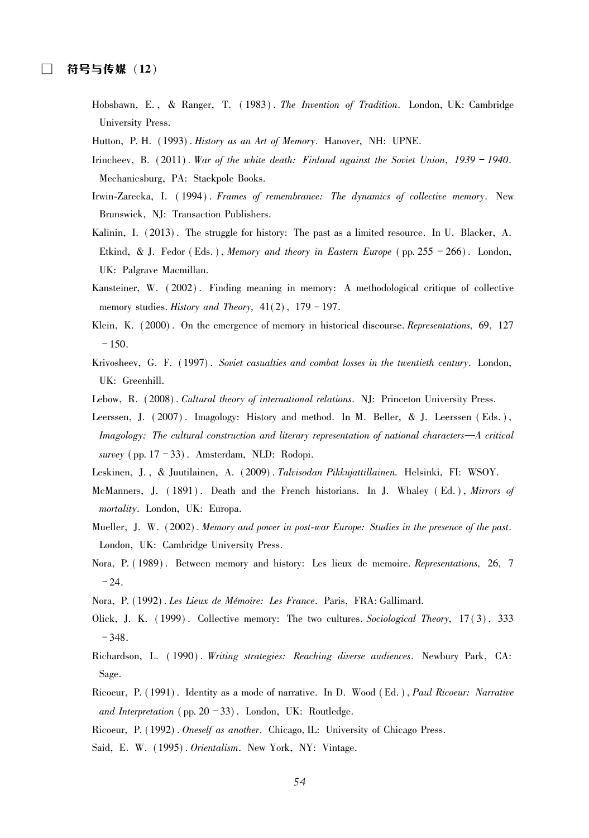- Hobsbawn, E., & Ranger, T. (1983). The Invention of Tradition. London, UK: Cambridge University Press.
- Hutton, P. H. (1993). History as an Art of Memory. Hanover, NH: UPNE.
- Irincheev, B.  $(2011)$ . War of the white death: Finland against the Soviet Union, 1939 1940. Mechanicsburg, PA: Stackpole Books.
- Irwin-Zarecka, I. (1994). Frames of remembrance: The dynamics of collective memory. New Brunswick, NJ: Transaction Publishers.
- Kalinin, I. (2013). The struggle for history: The past as a limited resource. In U. Blacker, A. Etkind, & J. Fedor (Eds.), Memory and theory in Eastern Europe (pp. 255 - 266). London, UK: Palgrave Macmillan.
- Kansteiner, W. (2002). Finding meaning in memory: A methodological critique of collective memory studies. History and Theory,  $41(2)$ ,  $179 - 197$ .
- Klein, K. (2000). On the emergence of memory in historical discourse. Representations, 69, 127  $-150.$
- Krivosheev, G. F. (1997). Soviet casualties and combat losses in the twentieth century. London. UK: Greenhill.
- Lebow, R. (2008). Cultural theory of international relations. NJ: Princeton University Press.
- Leerssen, J. (2007). Imagology: History and method. In M. Beller, & J. Leerssen (Eds.), Imagology: The cultural construction and literary representation of national characters—A critical survey (pp.  $17 - 33$ ). Amsterdam, NLD: Rodopi.
- Leskinen, J., & Juutilainen, A. (2009). Talvisodan Pikkujattillainen. Helsinki, FI: WSOY.
- McManners, J. (1891). Death and the French historians. In J. Whaley (Ed.), Mirrors of mortality. London. UK: Europa.
- Mueller, J. W. (2002). Memory and power in post-war Europe: Studies in the presence of the past. London, UK: Cambridge University Press.
- Nora, P. (1989). Between memory and history: Les lieux de memoire. Representations, 26, 7  $-24.$
- Nora, P. (1992). Les Lieux de Mémoire: Les France. Paris, FRA: Gallimard.
- Olick, J. K. (1999). Collective memory: The two cultures. Sociological Theory, 17(3), 333  $-348.$
- Richardson, L. (1990). Writing strategies: Reaching diverse audiences. Newbury Park, CA: Sage.
- Ricoeur, P. (1991). Identity as a mode of narrative. In D. Wood (Ed.), Paul Ricoeur: Narrative and Interpretation (pp.  $20 - 33$ ). London, UK: Routledge.
- Ricoeur, P. (1992). Oneself as another. Chicago, IL: University of Chicago Press.
- Said, E. W. (1995). Orientalism. New York, NY: Vintage.